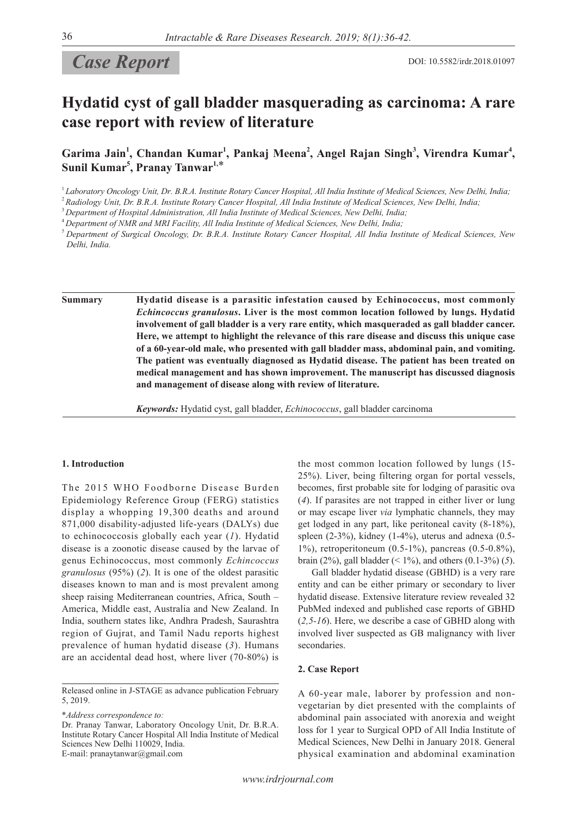# **Case Report** DOI: 10.5582/irdr.2018.01097

# **Hydatid cyst of gall bladder masquerading as carcinoma: A rare case report with review of literature**

Garima Jain<sup>1</sup>, Chandan Kumar<sup>1</sup>, Pankaj Meena<sup>2</sup>, Angel Rajan Singh<sup>3</sup>, Virendra Kumar<sup>4</sup>, **Sunil Kumar5 , Pranay Tanwar1,**\*

<sup>1</sup>*Laboratory Oncology Unit, Dr. B.R.A. Institute Rotary Cancer Hospital, All India Institute of Medical Sciences, New Delhi, India;*

<sup>2</sup>*Radiology Unit, Dr. B.R.A. Institute Rotary Cancer Hospital, All India Institute of Medical Sciences, New Delhi, India;*

<sup>3</sup>*Department of Hospital Administration, All India Institute of Medical Sciences, New Delhi, India;*

<sup>4</sup>*Department of NMR and MRI Facility, All India Institute of Medical Sciences, New Delhi, India;*

<sup>5</sup>*Department of Surgical Oncology, Dr. B.R.A. Institute Rotary Cancer Hospital, All India Institute of Medical Sciences, New Delhi, India.*

**Summary Hydatid disease is a parasitic infestation caused by Echinococcus, most commonly**  *Echincoccus granulosus***. Liver is the most common location followed by lungs. Hydatid involvement of gall bladder is a very rare entity, which masqueraded as gall bladder cancer. Here, we attempt to highlight the relevance of this rare disease and discuss this unique case of a 60-year-old male, who presented with gall bladder mass, abdominal pain, and vomiting. The patient was eventually diagnosed as Hydatid disease. The patient has been treated on medical management and has shown improvement. The manuscript has discussed diagnosis and management of disease along with review of literature.**

*Keywords:* Hydatid cyst, gall bladder, *Echinococcus*, gall bladder carcinoma

# **1. Introduction**

The 2015 WHO Foodborne Disease Burden Epidemiology Reference Group (FERG) statistics display a whopping 19,300 deaths and around 871,000 disability-adjusted life-years (DALYs) due to echinococcosis globally each year (*1*). Hydatid disease is a zoonotic disease caused by the larvae of genus Echinococcus, most commonly *Echincoccus granulosus* (95%) (*2*). It is one of the oldest parasitic diseases known to man and is most prevalent among sheep raising Mediterranean countries, Africa, South – America, Middle east, Australia and New Zealand. In India, southern states like, Andhra Pradesh, Saurashtra region of Gujrat, and Tamil Nadu reports highest prevalence of human hydatid disease (*3*). Humans are an accidental dead host, where liver (70-80%) is

\**Address correspondence to:*

Dr. Pranay Tanwar, Laboratory Oncology Unit, Dr. B.R.A. Institute Rotary Cancer Hospital All India Institute of Medical Sciences New Delhi 110029, India. E-mail: pranaytanwar@gmail.com

the most common location followed by lungs (15- 25%). Liver, being filtering organ for portal vessels, becomes, first probable site for lodging of parasitic ova (*4*). If parasites are not trapped in either liver or lung or may escape liver *via* lymphatic channels, they may get lodged in any part, like peritoneal cavity (8-18%), spleen  $(2-3\%)$ , kidney  $(1-4\%)$ , uterus and adnexa  $(0.5-$ 1%), retroperitoneum (0.5-1%), pancreas (0.5-0.8%), brain (2%), gall bladder (< 1%), and others (0.1-3%) (*5*).

Gall bladder hydatid disease (GBHD) is a very rare entity and can be either primary or secondary to liver hydatid disease. Extensive literature review revealed 32 PubMed indexed and published case reports of GBHD (*2,5-16*). Here, we describe a case of GBHD along with involved liver suspected as GB malignancy with liver secondaries.

#### **2. Case Report**

A 60-year male, laborer by profession and nonvegetarian by diet presented with the complaints of abdominal pain associated with anorexia and weight loss for 1 year to Surgical OPD of All India Institute of Medical Sciences, New Delhi in January 2018. General physical examination and abdominal examination

Released online in J-STAGE as advance publication February 5, 2019.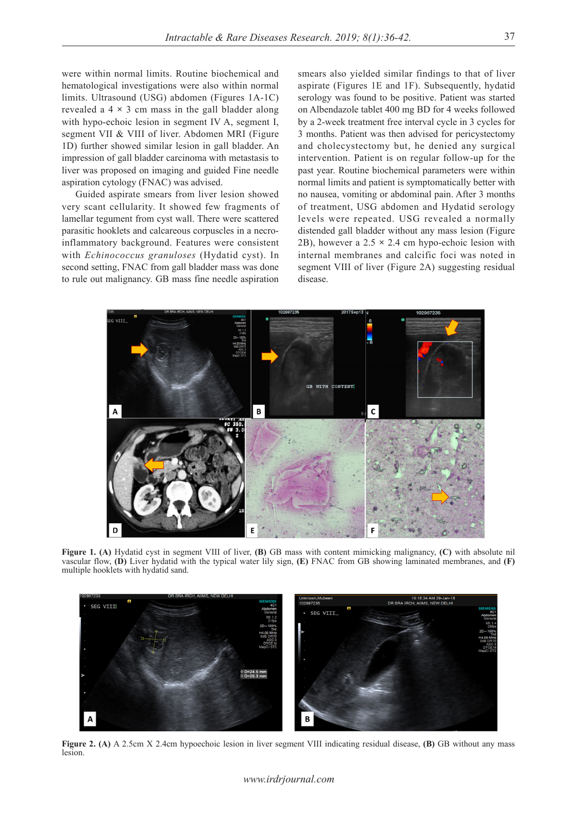were within normal limits. Routine biochemical and hematological investigations were also within normal limits. Ultrasound (USG) abdomen (Figures 1A-1C) revealed a 4 **×** 3 cm mass in the gall bladder along with hypo-echoic lesion in segment IV A, segment I, segment VII & VIII of liver. Abdomen MRI (Figure 1D) further showed similar lesion in gall bladder. An impression of gall bladder carcinoma with metastasis to liver was proposed on imaging and guided Fine needle aspiration cytology (FNAC) was advised.

Guided aspirate smears from liver lesion showed very scant cellularity. It showed few fragments of lamellar tegument from cyst wall. There were scattered parasitic hooklets and calcareous corpuscles in a necroinflammatory background. Features were consistent with *Echinococcus granuloses* (Hydatid cyst). In second setting, FNAC from gall bladder mass was done to rule out malignancy. GB mass fine needle aspiration

smears also yielded similar findings to that of liver aspirate (Figures 1E and 1F). Subsequently, hydatid serology was found to be positive. Patient was started on Albendazole tablet 400 mg BD for 4 weeks followed by a 2-week treatment free interval cycle in 3 cycles for 3 months. Patient was then advised for pericystectomy and cholecystectomy but, he denied any surgical intervention. Patient is on regular follow-up for the past year. Routine biochemical parameters were within normal limits and patient is symptomatically better with no nausea, vomiting or abdominal pain. After 3 months of treatment, USG abdomen and Hydatid serology levels were repeated. USG revealed a normally distended gall bladder without any mass lesion (Figure 2B), however a 2.5 **×** 2.4 cm hypo-echoic lesion with internal membranes and calcific foci was noted in segment VIII of liver (Figure 2A) suggesting residual disease.



**Figure 1. (A)** Hydatid cyst in segment VIII of liver, **(B)** GB mass with content mimicking malignancy, **(C)** with absolute nil vascular flow, **(D)** Liver hydatid with the typical water lily sign, **(E)** FNAC from GB showing laminated membranes, and **(F)**  multiple hooklets with hydatid sand.



**Figure 2. (A)** A 2.5cm X 2.4cm hypoechoic lesion in liver segment VIII indicating residual disease, **(B)** GB without any mass lesion.

#### *www.irdrjournal.com*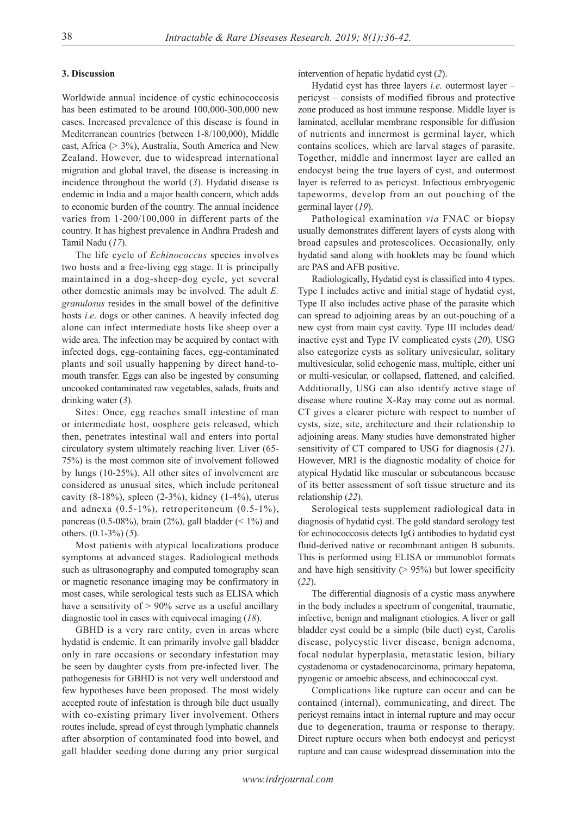# **3. Discussion**

Worldwide annual incidence of cystic echinococcosis has been estimated to be around 100,000-300,000 new cases. Increased prevalence of this disease is found in Mediterranean countries (between 1-8/100,000), Middle east, Africa (> 3%), Australia, South America and New Zealand. However, due to widespread international migration and global travel, the disease is increasing in incidence throughout the world (*3*). Hydatid disease is endemic in India and a major health concern, which adds to economic burden of the country. The annual incidence varies from 1-200/100,000 in different parts of the country. It has highest prevalence in Andhra Pradesh and Tamil Nadu (*17*).

The life cycle of *Echinococcus* species involves two hosts and a free-living egg stage. It is principally maintained in a dog-sheep-dog cycle, yet several other domestic animals may be involved. The adult *E. granulosus* resides in the small bowel of the definitive hosts *i.e*. dogs or other canines. A heavily infected dog alone can infect intermediate hosts like sheep over a wide area. The infection may be acquired by contact with infected dogs, egg-containing faces, egg-contaminated plants and soil usually happening by direct hand-tomouth transfer. Eggs can also be ingested by consuming uncooked contaminated raw vegetables, salads, fruits and drinking water (*3*).

Sites: Once, egg reaches small intestine of man or intermediate host, oosphere gets released, which then, penetrates intestinal wall and enters into portal circulatory system ultimately reaching liver. Liver (65- 75%) is the most common site of involvement followed by lungs (10-25%). All other sites of involvement are considered as unusual sites, which include peritoneal cavity (8-18%), spleen (2-3%), kidney (1-4%), uterus and adnexa (0.5-1%), retroperitoneum (0.5-1%), pancreas (0.5-08%), brain (2%), gall bladder (< 1%) and others. (0.1-3%) (*5*).

Most patients with atypical localizations produce symptoms at advanced stages. Radiological methods such as ultrasonography and computed tomography scan or magnetic resonance imaging may be confirmatory in most cases, while serological tests such as ELISA which have a sensitivity of  $> 90\%$  serve as a useful ancillary diagnostic tool in cases with equivocal imaging (*18*).

GBHD is a very rare entity, even in areas where hydatid is endemic. It can primarily involve gall bladder only in rare occasions or secondary infestation may be seen by daughter cysts from pre-infected liver. The pathogenesis for GBHD is not very well understood and few hypotheses have been proposed. The most widely accepted route of infestation is through bile duct usually with co-existing primary liver involvement. Others routes include, spread of cyst through lymphatic channels after absorption of contaminated food into bowel, and gall bladder seeding done during any prior surgical

intervention of hepatic hydatid cyst (*2*).

Hydatid cyst has three layers *i.e*. outermost layer – pericyst – consists of modified fibrous and protective zone produced as host immune response. Middle layer is laminated, acellular membrane responsible for diffusion of nutrients and innermost is germinal layer, which contains scolices, which are larval stages of parasite. Together, middle and innermost layer are called an endocyst being the true layers of cyst, and outermost layer is referred to as pericyst. Infectious embryogenic tapeworms, develop from an out pouching of the germinal layer (*19*).

Pathological examination *via* FNAC or biopsy usually demonstrates different layers of cysts along with broad capsules and protoscolices. Occasionally, only hydatid sand along with hooklets may be found which are PAS and AFB positive.

Radiologically, Hydatid cyst is classified into 4 types. Type I includes active and initial stage of hydatid cyst, Type II also includes active phase of the parasite which can spread to adjoining areas by an out-pouching of a new cyst from main cyst cavity. Type III includes dead/ inactive cyst and Type IV complicated cysts (*20*). USG also categorize cysts as solitary univesicular, solitary multivesicular, solid echogenic mass, multiple, either uni or multi-vesicular, or collapsed, flattened, and calcified. Additionally, USG can also identify active stage of disease where routine X-Ray may come out as normal. CT gives a clearer picture with respect to number of cysts, size, site, architecture and their relationship to adjoining areas. Many studies have demonstrated higher sensitivity of CT compared to USG for diagnosis (*21*). However, MRI is the diagnostic modality of choice for atypical Hydatid like muscular or subcutaneous because of its better assessment of soft tissue structure and its relationship (*22*).

Serological tests supplement radiological data in diagnosis of hydatid cyst. The gold standard serology test for echinococcosis detects IgG antibodies to hydatid cyst fluid-derived native or recombinant antigen B subunits. This is performed using ELISA or immunoblot formats and have high sensitivity  $(> 95\%)$  but lower specificity (*22*).

The differential diagnosis of a cystic mass anywhere in the body includes a spectrum of congenital, traumatic, infective, benign and malignant etiologies. A liver or gall bladder cyst could be a simple (bile duct) cyst, Carolis disease, polycystic liver disease, benign adenoma, focal nodular hyperplasia, metastatic lesion, biliary cystadenoma or cystadenocarcinoma, primary hepatoma, pyogenic or amoebic abscess, and echinococcal cyst.

Complications like rupture can occur and can be contained (internal), communicating, and direct. The pericyst remains intact in internal rupture and may occur due to degeneration, trauma or response to therapy. Direct rupture occurs when both endocyst and pericyst rupture and can cause widespread dissemination into the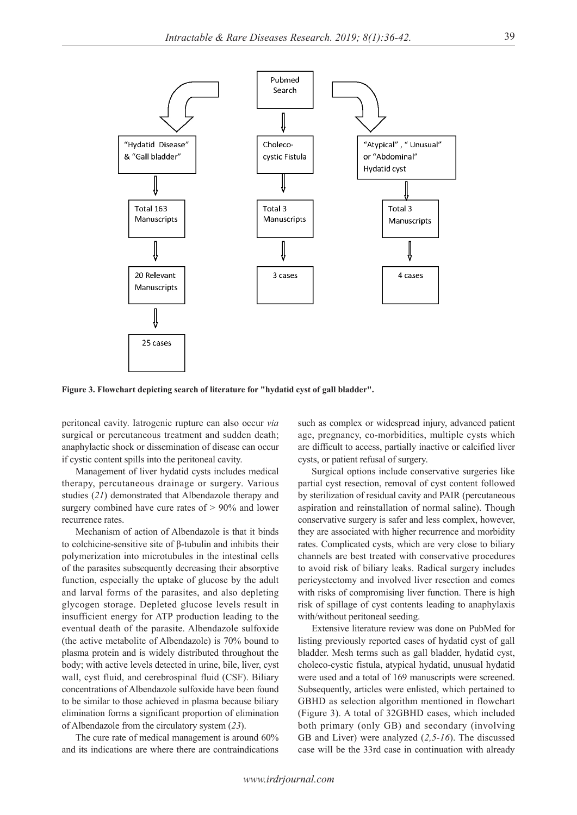

**Figure 3. Flowchart depicting search of literature for "hydatid cyst of gall bladder".**

peritoneal cavity. Iatrogenic rupture can also occur *via* surgical or percutaneous treatment and sudden death; anaphylactic shock or dissemination of disease can occur if cystic content spills into the peritoneal cavity.

Management of liver hydatid cysts includes medical therapy, percutaneous drainage or surgery. Various studies (*21*) demonstrated that Albendazole therapy and surgery combined have cure rates of > 90% and lower recurrence rates.

Mechanism of action of Albendazole is that it binds to colchicine-sensitive site of β-tubulin and inhibits their polymerization into microtubules in the intestinal cells of the parasites subsequently decreasing their absorptive function, especially the uptake of glucose by the adult and larval forms of the parasites, and also depleting glycogen storage. Depleted glucose levels result in insufficient energy for ATP production leading to the eventual death of the parasite. Albendazole sulfoxide (the active metabolite of Albendazole) is 70% bound to plasma protein and is widely distributed throughout the body; with active levels detected in urine, bile, liver, cyst wall, cyst fluid, and cerebrospinal fluid (CSF). Biliary concentrations of Albendazole sulfoxide have been found to be similar to those achieved in plasma because biliary elimination forms a significant proportion of elimination of Albendazole from the circulatory system (*23*).

The cure rate of medical management is around 60% and its indications are where there are contraindications

such as complex or widespread injury, advanced patient age, pregnancy, co-morbidities, multiple cysts which are difficult to access, partially inactive or calcified liver cysts, or patient refusal of surgery.

Surgical options include conservative surgeries like partial cyst resection, removal of cyst content followed by sterilization of residual cavity and PAIR (percutaneous aspiration and reinstallation of normal saline). Though conservative surgery is safer and less complex, however, they are associated with higher recurrence and morbidity rates. Complicated cysts, which are very close to biliary channels are best treated with conservative procedures to avoid risk of biliary leaks. Radical surgery includes pericystectomy and involved liver resection and comes with risks of compromising liver function. There is high risk of spillage of cyst contents leading to anaphylaxis with/without peritoneal seeding.

Extensive literature review was done on PubMed for listing previously reported cases of hydatid cyst of gall bladder. Mesh terms such as gall bladder, hydatid cyst, choleco-cystic fistula, atypical hydatid, unusual hydatid were used and a total of 169 manuscripts were screened. Subsequently, articles were enlisted, which pertained to GBHD as selection algorithm mentioned in flowchart (Figure 3). A total of 32GBHD cases, which included both primary (only GB) and secondary (involving GB and Liver) were analyzed (*2,5-16*). The discussed case will be the 33rd case in continuation with already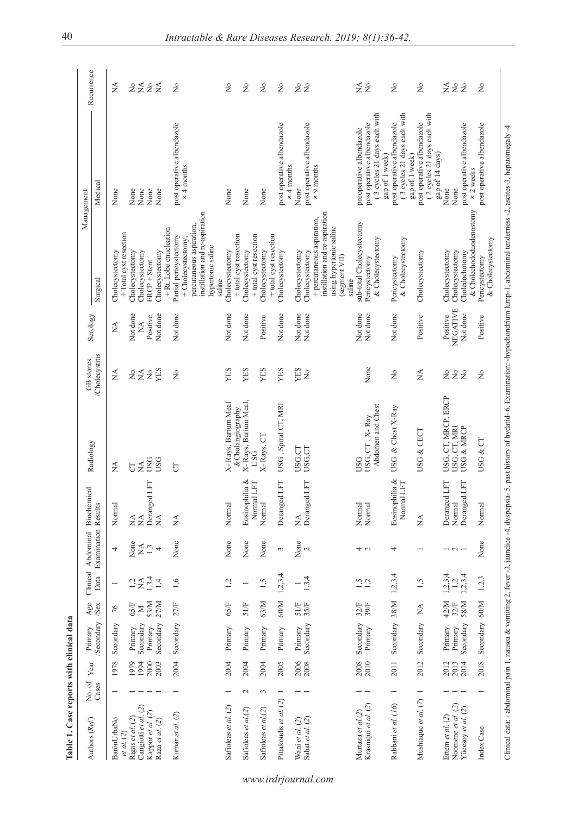|                                                                                                    |                 | Year         | Primary          |              |                    |                          | Clinical Abdominal Biochemical               | Radiology                           | GB stones                          | Serology     |                                                            | Management                                                | Recurrence                     |
|----------------------------------------------------------------------------------------------------|-----------------|--------------|------------------|--------------|--------------------|--------------------------|----------------------------------------------|-------------------------------------|------------------------------------|--------------|------------------------------------------------------------|-----------------------------------------------------------|--------------------------------|
| Authors (Ref.)                                                                                     | No. of<br>Cases |              | <b>Secondary</b> | Age<br>/Sex  |                    | Data Examination Results |                                              |                                     | Cholecystitis                      |              | Surgical                                                   | Medical                                                   |                                |
| BarónUrbaNo<br>et al. (2)                                                                          |                 | 1978         | Secondary        | $76$         |                    | 4                        | Normal                                       | $\lesssim$                          | $\stackrel{\triangle}{\simeq}$     | $\lesssim$   | + Total cyst resection<br>Cholecystectomy                  | None                                                      | $\lesssim$                     |
| Rigas et al. (2)                                                                                   |                 | 1979         | Primary          | $65/F$       | $12 \times$        | None                     | $\stackrel{\triangle}{\scriptstyle{\simeq}}$ | 5                                   | 2≨                                 | Not done     | Cholecystectomy                                            | None                                                      | 222                            |
| Cangiotti et al. (2)                                                                               |                 | 1994         | Secondary        | $\geq$       |                    | $\sum_{i=1}^{n}$         |                                              | <b>NASG</b>                         |                                    | $\mathbb{X}$ | Cholecystectomy                                            | None                                                      |                                |
| Kappor et al. (2)                                                                                  |                 | 2000         | Primary          | 53/M<br>27/M |                    |                          | Deranged LFT                                 |                                     | $\rm \stackrel{\circ}{\mathbf{Z}}$ | Positive     | $BCP +$ Stent                                              | None                                                      |                                |
| Raza et al. (2)                                                                                    |                 | 2003         | Secondary        |              | 1,3,4              |                          | $\sum_{i=1}^{n}$                             | <b>USG</b>                          | YES                                | Not done     | Cholecystectomy                                            | None                                                      |                                |
|                                                                                                    |                 |              |                  |              |                    |                          |                                              |                                     |                                    |              | + Rt. Lobe enucleation                                     |                                                           |                                |
| Kumar et al. (2)                                                                                   |                 | 2004         | Secondary        | 27/F         | 1,6                | None                     | $\mathbb{X}^{\mathsf{A}}$                    | 5                                   | ž                                  | Not done     | Partial pericystectomy                                     | post operative albendazole                                | $\tilde{z}$                    |
|                                                                                                    |                 |              |                  |              |                    |                          |                                              |                                     |                                    |              | + Cholecystectomy;                                         | $\times$ 4 months                                         |                                |
|                                                                                                    |                 |              |                  |              |                    |                          |                                              |                                     |                                    |              | instillation and re-aspiration<br>percutaneous aspiration, |                                                           |                                |
|                                                                                                    |                 |              |                  |              |                    |                          |                                              |                                     |                                    |              | hypertonic saline                                          |                                                           |                                |
|                                                                                                    |                 |              |                  |              |                    |                          |                                              |                                     |                                    |              | saline                                                     |                                                           |                                |
| Safioleas et al. (2)                                                                               |                 | 2004         | Primary          | 65/F         | 1,2                | None                     | Normal                                       | X-Rays, Barium Meal                 | YES                                | Not done     | Cholecystectomy                                            | None                                                      | $\stackrel{\circ}{\simeq}$     |
|                                                                                                    |                 |              |                  |              |                    |                          |                                              | &Cholangiography                    |                                    |              | + total cyst resection                                     |                                                           |                                |
| Safioleas et al.(2)                                                                                | $\sim$          | 2004         | Primary          | $51/F$       |                    | None                     | Eosinophilia &                               | X-Rays, Barium Meal.<br><b>USG</b>  | YES                                | Not done     | Cholecystectomy                                            | None                                                      | $\stackrel{\circ}{\mathsf{Z}}$ |
|                                                                                                    |                 |              |                  |              |                    |                          | LFT<br>Normal                                |                                     |                                    |              | + total cyst resection                                     |                                                           |                                |
| Safioleas et al.(2)                                                                                | 3               | 2004         | Primary          | 63/M         | 1,5                | None                     | Normal                                       | X-Rays, CT                          | YES                                | Positive     | + total cyst resection<br>Cholecystectomy                  | None                                                      | $\gtrsim$                      |
| Pitiakoudis et al. $(2)$ 1                                                                         |                 | 2005         | Primary          | $60/M$       | 1, 2, 3, 4         | $\epsilon$               | Deranged LFT                                 | USG, Spiral CT, MRI                 | YES                                | Not done     | Cholecystectomy                                            | post operative albendazole                                | $\tilde{z}$                    |
|                                                                                                    |                 |              |                  |              |                    |                          |                                              |                                     |                                    |              |                                                            | $\times$ 4 months                                         |                                |
|                                                                                                    |                 | 2006         | Primary          | 51/F         |                    | None                     | $\stackrel{\triangle}{\simeq}$               | USG,CT                              | YES                                | Not done     | Cholecystectomy                                            | None                                                      | $\stackrel{\circ}{\mathsf{Z}}$ |
| $\begin{array}{c} \text{Wani et al.} \text{ } (2) \\ \text{Sabat et al.} \text{ } (2) \end{array}$ |                 | 2008         | Secondary        | 35/F         | $\frac{1}{1,3,4}$  | $\sim$                   | Deranged LFT                                 | USG,CT                              | ż                                  | Not done     | Cholecystectomy                                            | post operative albendazole                                | $\geq$                         |
|                                                                                                    |                 |              |                  |              |                    |                          |                                              |                                     |                                    |              | + percutaneous aspiration,                                 | $\times$ 9 months                                         |                                |
|                                                                                                    |                 |              |                  |              |                    |                          |                                              |                                     |                                    |              | instillation and re-aspiration                             |                                                           |                                |
|                                                                                                    |                 |              |                  |              |                    |                          |                                              |                                     |                                    |              | using hypertonic saline                                    |                                                           |                                |
|                                                                                                    |                 |              |                  |              |                    |                          |                                              |                                     |                                    |              | (segment VII)                                              |                                                           |                                |
|                                                                                                    |                 |              |                  |              |                    |                          |                                              |                                     |                                    |              | saline                                                     |                                                           |                                |
| Murtaza et al.(2)                                                                                  |                 | 2008<br>2010 | Secondary        | 32/F<br>39/F | $1,2$<br>$1,2$     | 4 U                      | Normal<br>Normal                             | USG                                 |                                    | Not done     | sub-total Cholecystectomy                                  | preoperative albendazole                                  | ≨£                             |
| Krasniqui et al. (2)                                                                               |                 |              | Primary          |              |                    |                          |                                              | Abdomen and Chest<br>USG, CT, X-Ray | None                               | Not done     | & Cholecystectomy<br>Pericystectomy                        | (3 cycles 21 days each with<br>post operative albendazole |                                |
|                                                                                                    |                 |              |                  |              |                    |                          |                                              |                                     |                                    |              |                                                            | gap of 1 week)                                            |                                |
| Rabbani et al. (16)                                                                                |                 | 2011         | Secondary 38/M   |              | 1, 2, 3, 4         | 4                        | Eosinophilia &                               | USG & Chest $X$ -Ray                | $\tilde{z}$                        | Not done     | Pericystectomy                                             | post operative albendazole                                | $\stackrel{\circ}{\mathsf{Z}}$ |
|                                                                                                    |                 |              |                  |              |                    |                          | <b>LFT</b><br>Normal                         |                                     |                                    |              | & Cholecystectomy                                          | (3 cycles 21 days each with                               |                                |
|                                                                                                    |                 |              |                  |              |                    |                          |                                              |                                     |                                    |              |                                                            | gap of 1 week)                                            |                                |
| Mushtaque et al. (7)                                                                               | $\overline{ }$  | 2012         | Secondary        | Á            | 1,5                |                          | $\mathbb{X}^{\mathsf{A}}$                    | USG & CECT                          | $\mathbb{X}^{\mathsf{A}}$          | Positive     | Cholecystectomy                                            | post operative albendazole                                | Ş                              |
|                                                                                                    |                 |              |                  |              |                    |                          |                                              |                                     |                                    |              |                                                            | (2 cycles 21 days each with                               |                                |
|                                                                                                    |                 |              |                  |              |                    |                          |                                              |                                     |                                    |              |                                                            | gap of 14 days)                                           |                                |
| Ertem et al. (2)                                                                                   |                 | 2012         | Primary          | 42/M         | $1,2,3,4$<br>$1,2$ | $-2$                     | Deranged LFT                                 | USG, CT, MRCP, ERCP                 | $\frac{1}{2}$                      | Positive     | Cholecystectomy                                            | None                                                      | ≨2g                            |
| Noomene et al. (2)                                                                                 |                 | 2013         | Primary          | 32/F         |                    |                          | Normal                                       | USG, CT, MRI                        | $\tilde{z}$                        | NEGATIVE     | Cholecystectomy                                            | None                                                      |                                |
| Yücesoy et al. (2)                                                                                 |                 | 2014         | Secondary        | 58/M         | 1, 2, 3, 4         |                          | Deranged LFT                                 | USG & MRCP                          | $\tilde{z}$                        | Not done     | Choledochotomy                                             | post operative albendazole                                |                                |
|                                                                                                    |                 |              |                  |              |                    |                          |                                              |                                     |                                    |              | & Cholechododuodenostomy                                   | x 2 weeks                                                 |                                |
| Index Case                                                                                         |                 | 2018         | Secondary 60/M   |              | 1,2,3              | None                     | Normal                                       | USG & CT                            | $\frac{1}{2}$                      | Positive     | Pericystectomy                                             | post operative albendazole                                | $\tilde{z}$                    |
|                                                                                                    |                 |              |                  |              |                    |                          |                                              |                                     |                                    |              | & Cholecystectomy                                          |                                                           |                                |

*www.irdrjournal.com*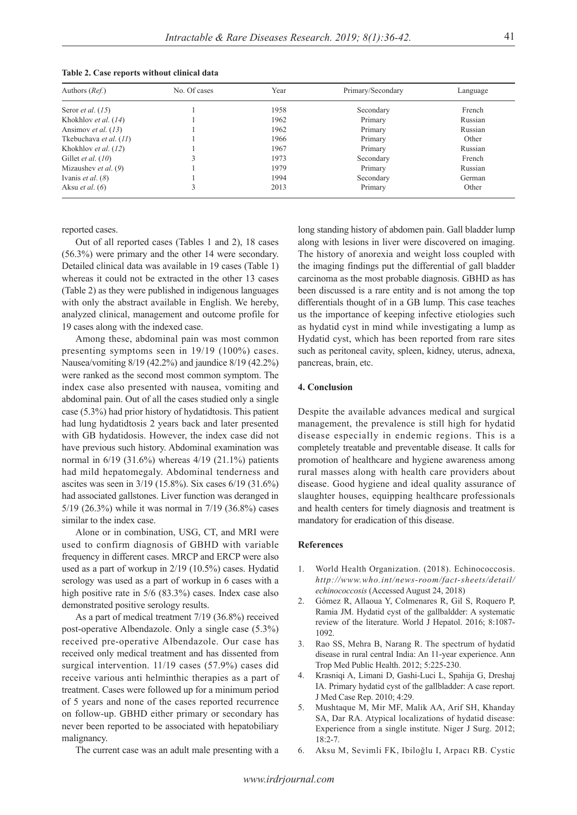| Authors ( <i>Ref.</i> )       | No. Of cases | Year | Primary/Secondary | Language |
|-------------------------------|--------------|------|-------------------|----------|
| Seror <i>et al.</i> $(15)$    |              | 1958 | Secondary         | French   |
| Khokhlov et al. (14)          |              | 1962 | Primary           | Russian  |
| Ansimov et al. (13)           |              | 1962 | Primary           | Russian  |
| Tkebuchava et al. (11)        |              | 1966 | Primary           | Other    |
| Khokhlov et al. (12)          |              | 1967 | Primary           | Russian  |
| Gillet <i>et al.</i> $(10)$   |              | 1973 | Secondary         | French   |
| Mizaushev <i>et al.</i> $(9)$ |              | 1979 | Primary           | Russian  |
| Ivanis <i>et al.</i> $(8)$    |              | 1994 | Secondary         | German   |
| Aksu <i>et al.</i> $(6)$      |              | 2013 | Primary           | Other    |

**Table 2. Case reports without clinical data**

reported cases.

Out of all reported cases (Tables 1 and 2), 18 cases (56.3%) were primary and the other 14 were secondary. Detailed clinical data was available in 19 cases (Table 1) whereas it could not be extracted in the other 13 cases (Table 2) as they were published in indigenous languages with only the abstract available in English. We hereby, analyzed clinical, management and outcome profile for 19 cases along with the indexed case.

Among these, abdominal pain was most common presenting symptoms seen in 19/19 (100%) cases. Nausea/vomiting 8/19 (42.2%) and jaundice 8/19 (42.2%) were ranked as the second most common symptom. The index case also presented with nausea, vomiting and abdominal pain. Out of all the cases studied only a single case (5.3%) had prior history of hydatidtosis. This patient had lung hydatidtosis 2 years back and later presented with GB hydatidosis. However, the index case did not have previous such history. Abdominal examination was normal in 6/19 (31.6%) whereas 4/19 (21.1%) patients had mild hepatomegaly. Abdominal tenderness and ascites was seen in 3/19 (15.8%). Six cases 6/19 (31.6%) had associated gallstones. Liver function was deranged in 5/19 (26.3%) while it was normal in 7/19 (36.8%) cases similar to the index case.

Alone or in combination, USG, CT, and MRI were used to confirm diagnosis of GBHD with variable frequency in different cases. MRCP and ERCP were also used as a part of workup in 2/19 (10.5%) cases. Hydatid serology was used as a part of workup in 6 cases with a high positive rate in 5/6 (83.3%) cases. Index case also demonstrated positive serology results.

As a part of medical treatment 7/19 (36.8%) received post-operative Albendazole. Only a single case (5.3%) received pre-operative Albendazole. Our case has received only medical treatment and has dissented from surgical intervention. 11/19 cases (57.9%) cases did receive various anti helminthic therapies as a part of treatment. Cases were followed up for a minimum period of 5 years and none of the cases reported recurrence on follow-up. GBHD either primary or secondary has never been reported to be associated with hepatobiliary malignancy.

The current case was an adult male presenting with a

long standing history of abdomen pain. Gall bladder lump along with lesions in liver were discovered on imaging. The history of anorexia and weight loss coupled with the imaging findings put the differential of gall bladder carcinoma as the most probable diagnosis. GBHD as has been discussed is a rare entity and is not among the top differentials thought of in a GB lump. This case teaches us the importance of keeping infective etiologies such as hydatid cyst in mind while investigating a lump as Hydatid cyst, which has been reported from rare sites such as peritoneal cavity, spleen, kidney, uterus, adnexa, pancreas, brain, etc.

# **4. Conclusion**

Despite the available advances medical and surgical management, the prevalence is still high for hydatid disease especially in endemic regions. This is a completely treatable and preventable disease. It calls for promotion of healthcare and hygiene awareness among rural masses along with health care providers about disease. Good hygiene and ideal quality assurance of slaughter houses, equipping healthcare professionals and health centers for timely diagnosis and treatment is mandatory for eradication of this disease.

# **References**

- 1. World Health Organization. (2018). Echinococcosis. *http://www.who.int/news-room/fact-sheets/detail/ echinococcosis* (Accessed August 24, 2018)
- 2. Gómez R, Allaoua Y, Colmenares R, Gil S, Roquero P, Ramia JM. Hydatid cyst of the gallbaldder: A systematic review of the literature. World J Hepatol. 2016; 8:1087- 1092.
- 3. Rao SS, Mehra B, Narang R. The spectrum of hydatid disease in rural central India: An 11-year experience. Ann Trop Med Public Health. 2012; 5:225-230.
- 4. Krasniqi A, Limani D, Gashi-Luci L, Spahija G, Dreshaj IA. Primary hydatid cyst of the gallbladder: A case report. J Med Case Rep. 2010; 4:29.
- 5. Mushtaque M, Mir MF, Malik AA, Arif SH, Khanday SA, Dar RA. Atypical localizations of hydatid disease: Experience from a single institute. Niger J Surg. 2012;  $18:2 - 7$ .
- 6. Aksu M, Sevimli FK, Ibiloğlu I, Arpacı RB. Cystic